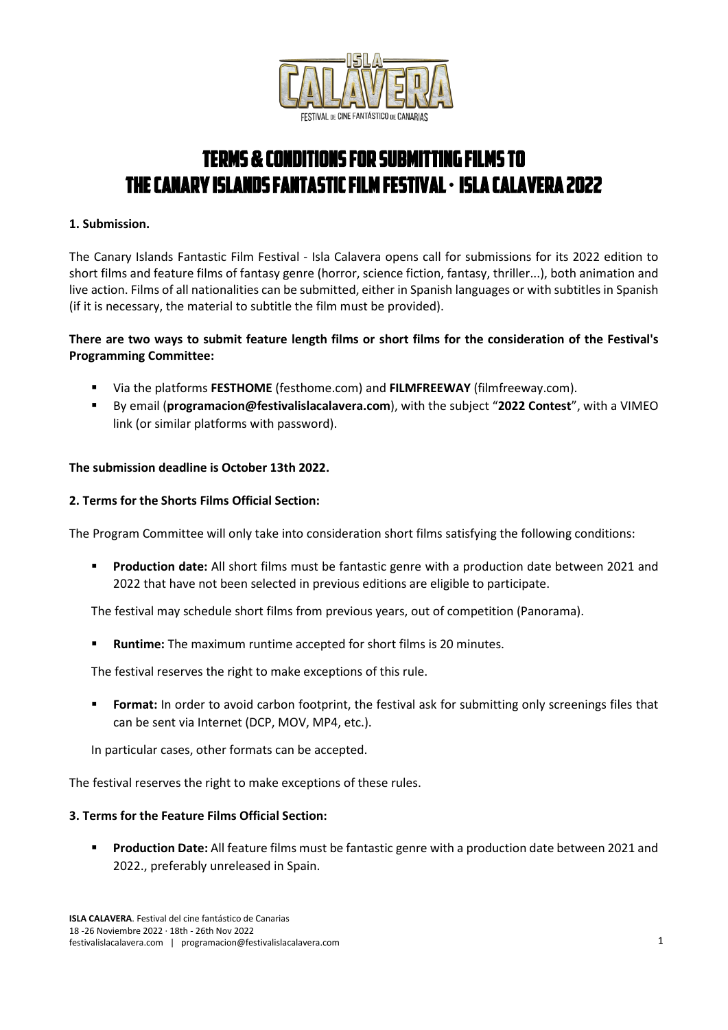

# TERMS & CONDITIONS FOR SUBMITTING FILMS TO THE CANARY ISLANDS FANTASTIC FILM FESTIVAL · ISLA CALAVERA 2022

## **1. Submission.**

The Canary Islands Fantastic Film Festival - Isla Calavera opens call for submissions for its 2022 edition to short films and feature films of fantasy genre (horror, science fiction, fantasy, thriller...), both animation and live action. Films of all nationalities can be submitted, either in Spanish languages or with subtitles in Spanish (if it is necessary, the material to subtitle the film must be provided).

# **There are two ways to submit feature length films or short films for the consideration of the Festival's Programming Committee:**

- Via the platforms **FESTHOME** (festhome.com) and **FILMFREEWAY** (filmfreeway.com).
- By email (**programacion@festivalislacalavera.com**), with the subject "**2022 Contest**", with a VIMEO link (or similar platforms with password).

## **The submission deadline is October 13th 2022.**

#### **2. Terms for the Shorts Films Official Section:**

The Program Committee will only take into consideration short films satisfying the following conditions:

**Production date:** All short films must be fantastic genre with a production date between 2021 and 2022 that have not been selected in previous editions are eligible to participate.

The festival may schedule short films from previous years, out of competition (Panorama).

**Runtime:** The maximum runtime accepted for short films is 20 minutes.

The festival reserves the right to make exceptions of this rule.

 **Format:** In order to avoid carbon footprint, the festival ask for submitting only screenings files that can be sent via Internet (DCP, MOV, MP4, etc.).

In particular cases, other formats can be accepted.

The festival reserves the right to make exceptions of these rules.

## **3. Terms for the Feature Films Official Section:**

 **Production Date:** All feature films must be fantastic genre with a production date between 2021 and 2022., preferably unreleased in Spain.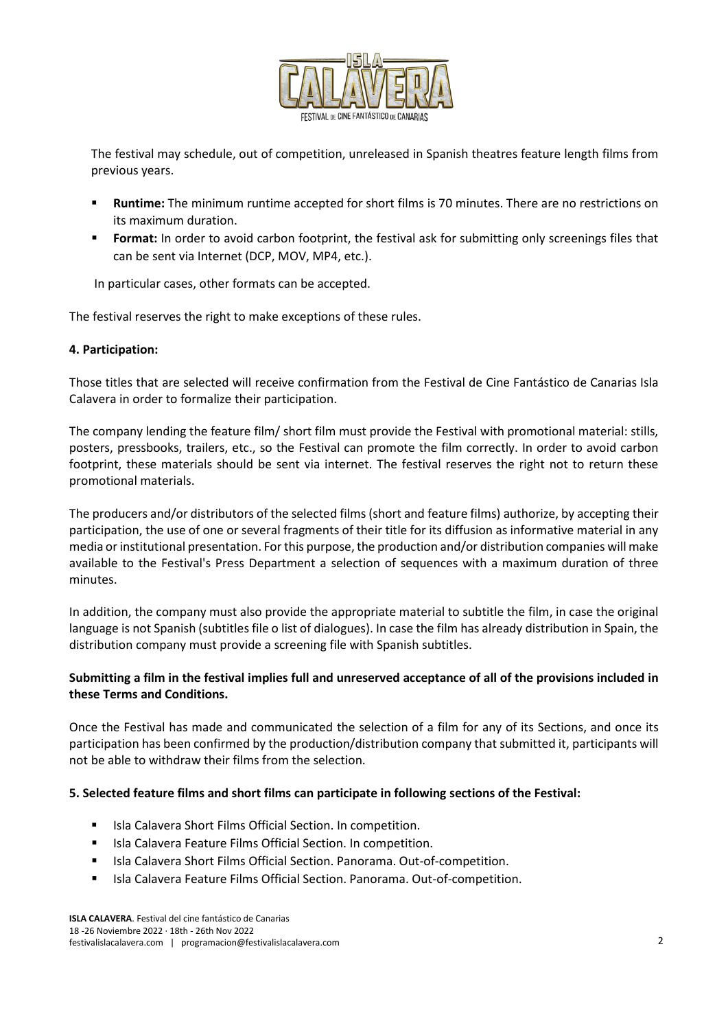

The festival may schedule, out of competition, unreleased in Spanish theatres feature length films from previous years.

- **Runtime:** The minimum runtime accepted for short films is 70 minutes. There are no restrictions on its maximum duration.
- **Format:** In order to avoid carbon footprint, the festival ask for submitting only screenings files that can be sent via Internet (DCP, MOV, MP4, etc.).

In particular cases, other formats can be accepted.

The festival reserves the right to make exceptions of these rules.

#### **4. Participation:**

Those titles that are selected will receive confirmation from the Festival de Cine Fantástico de Canarias Isla Calavera in order to formalize their participation.

The company lending the feature film/ short film must provide the Festival with promotional material: stills, posters, pressbooks, trailers, etc., so the Festival can promote the film correctly. In order to avoid carbon footprint, these materials should be sent via internet. The festival reserves the right not to return these promotional materials.

The producers and/or distributors of the selected films (short and feature films) authorize, by accepting their participation, the use of one or several fragments of their title for its diffusion as informative material in any media or institutional presentation. For this purpose, the production and/or distribution companies will make available to the Festival's Press Department a selection of sequences with a maximum duration of three minutes.

In addition, the company must also provide the appropriate material to subtitle the film, in case the original language is not Spanish (subtitles file o list of dialogues). In case the film has already distribution in Spain, the distribution company must provide a screening file with Spanish subtitles.

# **Submitting a film in the festival implies full and unreserved acceptance of all of the provisions included in these Terms and Conditions.**

Once the Festival has made and communicated the selection of a film for any of its Sections, and once its participation has been confirmed by the production/distribution company that submitted it, participants will not be able to withdraw their films from the selection.

#### **5. Selected feature films and short films can participate in following sections of the Festival:**

- Isla Calavera Short Films Official Section. In competition.
- Isla Calavera Feature Films Official Section. In competition.
- **ISla Calavera Short Films Official Section. Panorama. Out-of-competition.**
- **ISLA Calavera Feature Films Official Section. Panorama. Out-of-competition.**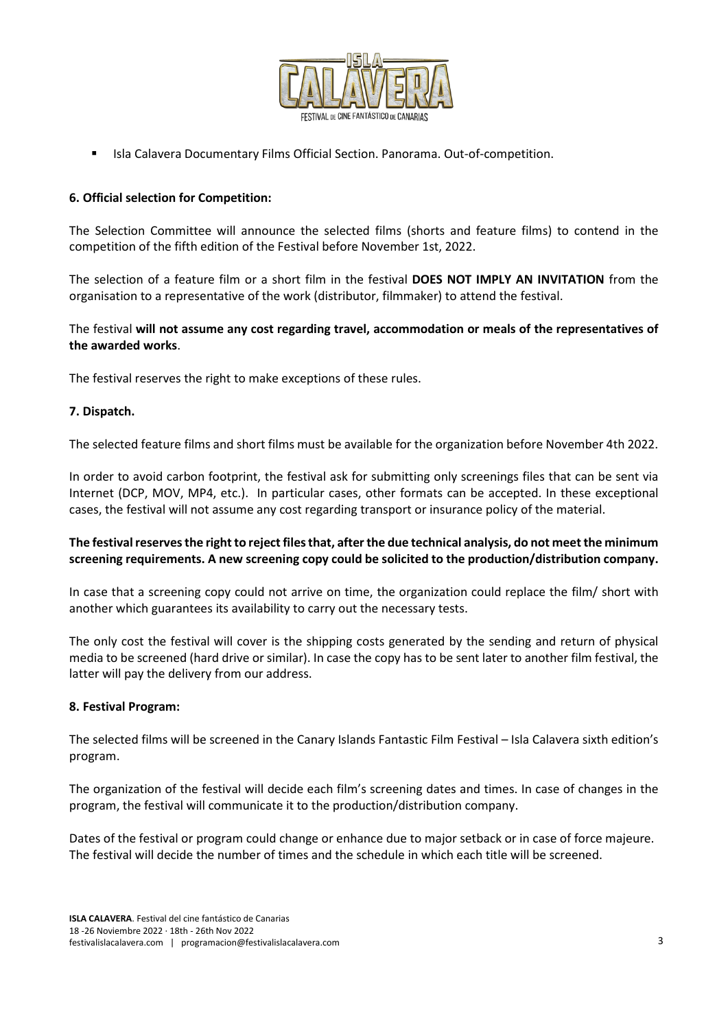

Isla Calavera Documentary Films Official Section. Panorama. Out-of-competition.

# **6. Official selection for Competition:**

The Selection Committee will announce the selected films (shorts and feature films) to contend in the competition of the fifth edition of the Festival before November 1st, 2022.

The selection of a feature film or a short film in the festival **DOES NOT IMPLY AN INVITATION** from the organisation to a representative of the work (distributor, filmmaker) to attend the festival.

The festival **will not assume any cost regarding travel, accommodation or meals of the representatives of the awarded works**.

The festival reserves the right to make exceptions of these rules.

#### **7. Dispatch.**

The selected feature films and short films must be available for the organization before November 4th 2022.

In order to avoid carbon footprint, the festival ask for submitting only screenings files that can be sent via Internet (DCP, MOV, MP4, etc.). In particular cases, other formats can be accepted. In these exceptional cases, the festival will not assume any cost regarding transport or insurance policy of the material.

# **The festival reserves the right to reject files that, after the due technical analysis, do not meet the minimum screening requirements. A new screening copy could be solicited to the production/distribution company.**

In case that a screening copy could not arrive on time, the organization could replace the film/ short with another which guarantees its availability to carry out the necessary tests.

The only cost the festival will cover is the shipping costs generated by the sending and return of physical media to be screened (hard drive or similar). In case the copy has to be sent later to another film festival, the latter will pay the delivery from our address.

#### **8. Festival Program:**

The selected films will be screened in the Canary Islands Fantastic Film Festival – Isla Calavera sixth edition's program.

The organization of the festival will decide each film's screening dates and times. In case of changes in the program, the festival will communicate it to the production/distribution company.

Dates of the festival or program could change or enhance due to major setback or in case of force majeure. The festival will decide the number of times and the schedule in which each title will be screened.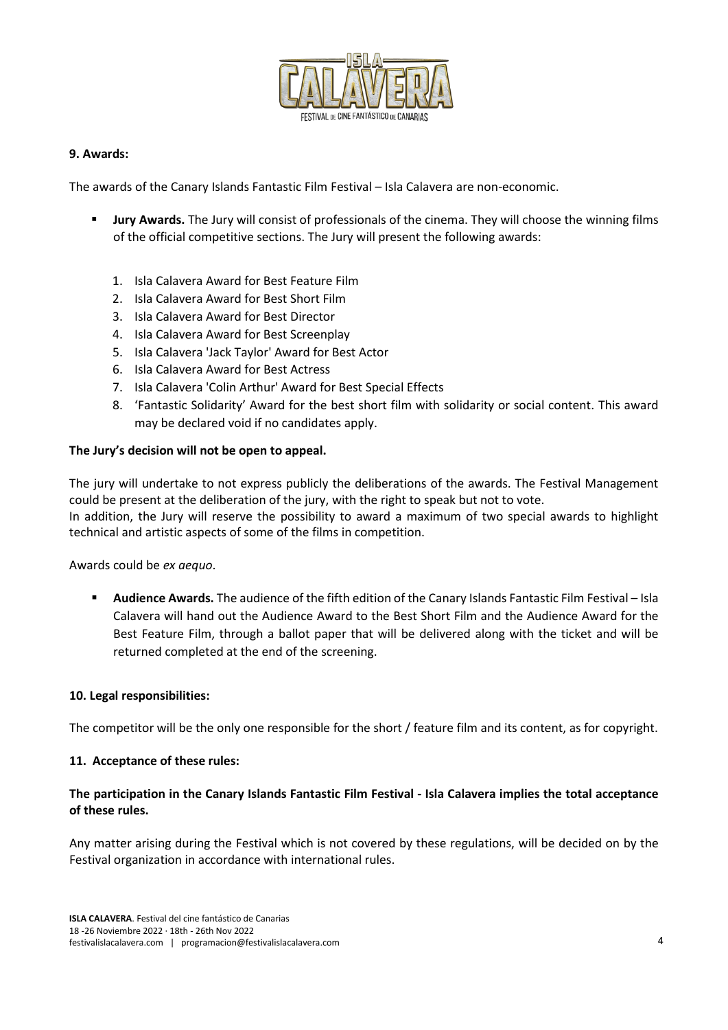

#### **9. Awards:**

The awards of the Canary Islands Fantastic Film Festival – Isla Calavera are non-economic.

- **Jury Awards.** The Jury will consist of professionals of the cinema. They will choose the winning films of the official competitive sections. The Jury will present the following awards:
	- 1. Isla Calavera Award for Best Feature Film
	- 2. Isla Calavera Award for Best Short Film
	- 3. Isla Calavera Award for Best Director
	- 4. Isla Calavera Award for Best Screenplay
	- 5. Isla Calavera 'Jack Taylor' Award for Best Actor
	- 6. Isla Calavera Award for Best Actress
	- 7. Isla Calavera 'Colin Arthur' Award for Best Special Effects
	- 8. 'Fantastic Solidarity' Award for the best short film with solidarity or social content. This award may be declared void if no candidates apply.

#### **The Jury's decision will not be open to appeal.**

The jury will undertake to not express publicly the deliberations of the awards. The Festival Management could be present at the deliberation of the jury, with the right to speak but not to vote. In addition, the Jury will reserve the possibility to award a maximum of two special awards to highlight technical and artistic aspects of some of the films in competition.

Awards could be *ex aequo*.

 **Audience Awards.** The audience of the fifth edition of the Canary Islands Fantastic Film Festival – Isla Calavera will hand out the Audience Award to the Best Short Film and the Audience Award for the Best Feature Film, through a ballot paper that will be delivered along with the ticket and will be returned completed at the end of the screening.

#### **10. Legal responsibilities:**

The competitor will be the only one responsible for the short / feature film and its content, as for copyright.

#### **11. Acceptance of these rules:**

## **The participation in the Canary Islands Fantastic Film Festival - Isla Calavera implies the total acceptance of these rules.**

Any matter arising during the Festival which is not covered by these regulations, will be decided on by the Festival organization in accordance with international rules.